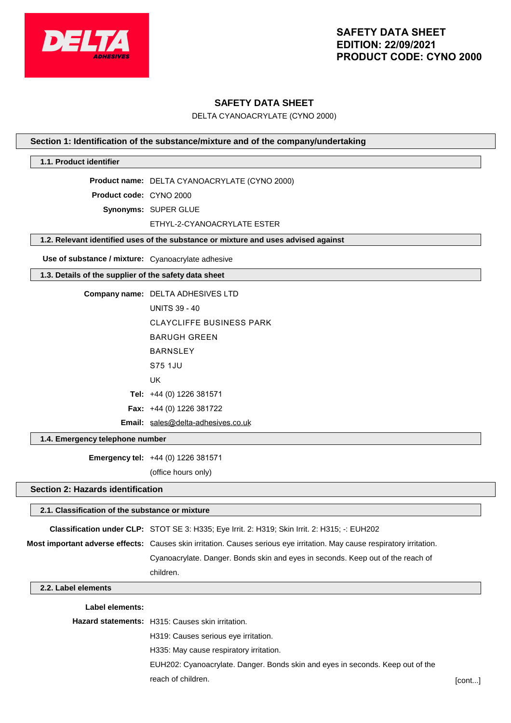

# **SAFETY DATA SHEET**

DELTA CYANOACRYLATE (CYNO 2000)

#### **Section 1: Identification of the substance/mixture and of the company/undertaking**

### **1.1. Product identifier**

**Product name:** DELTA CYANOACRYLATE (CYNO 2000)

**Product code:** CYNO 2000

**Synonyms:** SUPER GLUE

#### ETHYL-2-CYANOACRYLATE ESTER

#### **1.2. Relevant identified uses of the substance or mixture and uses advised against**

**Use of substance / mixture:** Cyanoacrylate adhesive

#### **1.3. Details of the supplier of the safety data sheet**

| <b>Company name: DELTA ADHESIVES LTD</b> |
|------------------------------------------|
| <b>UNITS 39 - 40</b>                     |
| <b>CLAYCLIFFE BUSINESS PARK</b>          |
| BARUGH GRFFN                             |
| <b>BARNSI FY</b>                         |
| S75 1.JU                                 |
| UK                                       |
| <b>Tel:</b> $+44$ (0) 1226 381571        |
| <b>Fax:</b> $+44$ (0) 1226 381722        |
| Email: sales@delta-adhesives.co.uk       |

#### **1.4. Emergency telephone number**

**Emergency tel:** +44 (0) 1226 381571

(office hours only)

#### **Section 2: Hazards identification**

# **2.1. Classification of the substance or mixture Classification under CLP:** STOT SE 3: H335; Eye Irrit. 2: H319; Skin Irrit. 2: H315; -: EUH202 **Most important adverse effects:** Causes skin irritation. Causes serious eye irritation. May cause respiratory irritation. Cyanoacrylate. Danger. Bonds skin and eyes in seconds. Keep out of the reach of children. **2.2. Label elements Label elements:**

**Hazard statements:** H315: Causes skin irritation. H319: Causes serious eye irritation. H335: May cause respiratory irritation. EUH202: Cyanoacrylate. Danger. Bonds skin and eyes in seconds. Keep out of the reach of children. [cont...]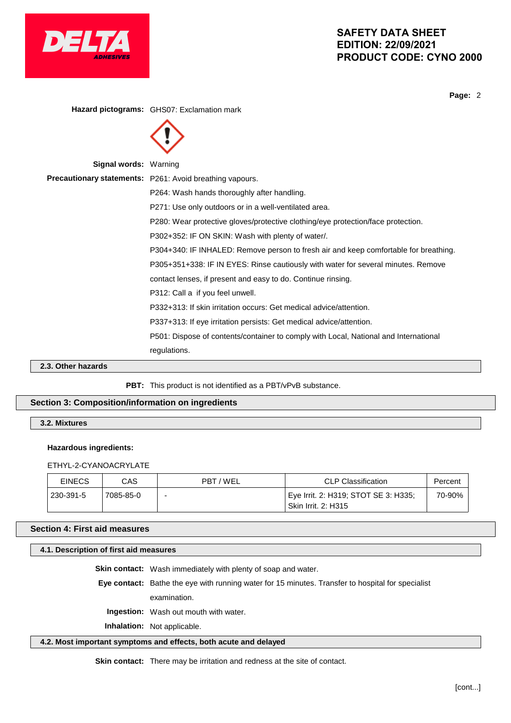

**Page:** 2

**Hazard pictograms:** GHS07: Exclamation mark



P312: Call a if you feel unwell.

contact lenses, if present and easy to do. Continue rinsing.

P332+313: If skin irritation occurs: Get medical advice/attention.

P337+313: If eye irritation persists: Get medical advice/attention.

P501: Dispose of contents/container to comply with Local, National and International

regulations.

**2.3. Other hazards**

PBT: This product is not identified as a PBT/vPvB substance.

# **Section 3: Composition/information on ingredients**

**3.2. Mixtures**

### **Hazardous ingredients:**

ETHYL-2-CYANOACRYLATE

| <b>EINECS</b> | CAS       | PBT / WEL | CLP Classification                                                 | Percent |
|---------------|-----------|-----------|--------------------------------------------------------------------|---------|
| 230-391-5     | 7085-85-0 | -         | Eye Irrit. 2: H319; STOT SE 3: H335;<br><b>Skin Irrit. 2: H315</b> | 70-90%  |

### **Section 4: First aid measures**

#### **4.1. Description of first aid measures**

**Skin contact:** Wash immediately with plenty of soap and water.

**Eye contact:** Bathe the eye with running water for 15 minutes. Transfer to hospital for specialist

examination.

**Ingestion:** Wash out mouth with water.

**Inhalation:** Not applicable.

### **4.2. Most important symptoms and effects, both acute and delayed**

**Skin contact:** There may be irritation and redness at the site of contact.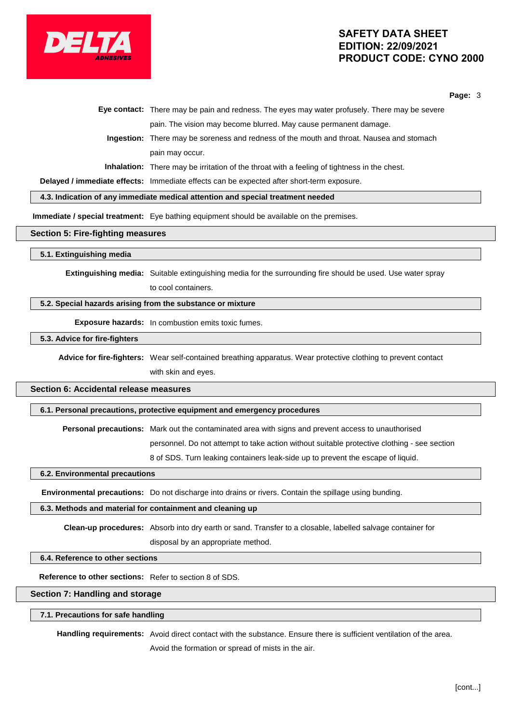

**Page:** 3

|  | Eye contact: There may be pain and redness. The eyes may water profusely. There may be severe      |
|--|----------------------------------------------------------------------------------------------------|
|  | pain. The vision may become blurred. May cause permanent damage.                                   |
|  | Ingestion: There may be soreness and redness of the mouth and throat. Nausea and stomach           |
|  | pain may occur.                                                                                    |
|  | <b>Inhalation:</b> There may be irritation of the throat with a feeling of tightness in the chest. |
|  |                                                                                                    |

**Delayed / immediate effects:** Immediate effects can be expected after short-term exposure.

**4.3. Indication of any immediate medical attention and special treatment needed**

**Immediate / special treatment:** Eye bathing equipment should be available on the premises.

#### **Section 5: Fire-fighting measures**

#### **5.1. Extinguishing media**

**Extinguishing media:** Suitable extinguishing media for the surrounding fire should be used. Use water spray to cool containers.

#### **5.2. Special hazards arising from the substance or mixture**

**Exposure hazards:** In combustion emits toxic fumes.

#### **5.3. Advice for fire-fighters**

**Advice for fire-fighters:** Wear self-contained breathing apparatus. Wear protective clothing to prevent contact with skin and eyes.

# **Section 6: Accidental release measures**

#### **6.1. Personal precautions, protective equipment and emergency procedures**

**Personal precautions:** Mark out the contaminated area with signs and prevent access to unauthorised

personnel. Do not attempt to take action without suitable protective clothing - see section

8 of SDS. Turn leaking containers leak-side up to prevent the escape of liquid.

#### **6.2. Environmental precautions**

**Environmental precautions:** Do not discharge into drains or rivers. Contain the spillage using bunding.

#### **6.3. Methods and material for containment and cleaning up**

**Clean-up procedures:** Absorb into dry earth or sand. Transfer to a closable, labelled salvage container for disposal by an appropriate method.

#### **6.4. Reference to other sections**

**Reference to other sections:** Refer to section 8 of SDS.

#### **Section 7: Handling and storage**

#### **7.1. Precautions for safe handling**

**Handling requirements:** Avoid direct contact with the substance. Ensure there is sufficient ventilation of the area. Avoid the formation or spread of mists in the air.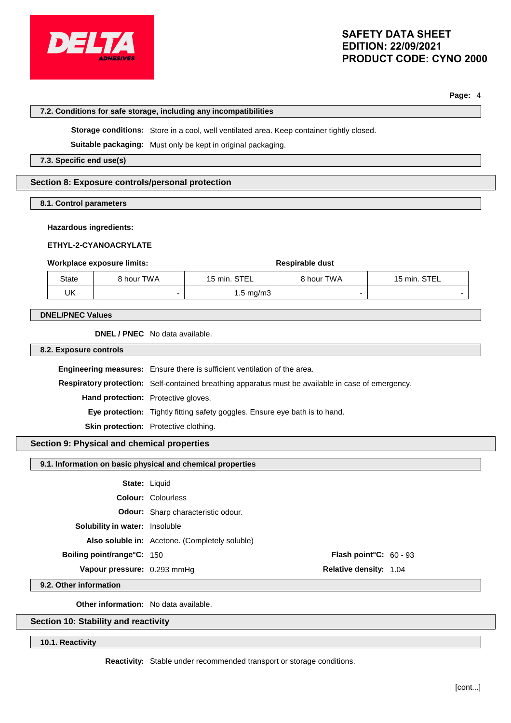

**7.2. Conditions for safe storage, including any incompatibilities**

# **SAFETY DATA SHEET EDITION: 22/09/2021 PRODUCT CODE: CYNO 2000**

**Page:** 4

| Storage conditions: Store in a cool, well ventilated area. Keep container tightly closed. |                                                                                                    |  |                                                                                  |                 |              |  |
|-------------------------------------------------------------------------------------------|----------------------------------------------------------------------------------------------------|--|----------------------------------------------------------------------------------|-----------------|--------------|--|
| Suitable packaging: Must only be kept in original packaging.                              |                                                                                                    |  |                                                                                  |                 |              |  |
| 7.3. Specific end use(s)                                                                  |                                                                                                    |  |                                                                                  |                 |              |  |
|                                                                                           |                                                                                                    |  |                                                                                  |                 |              |  |
|                                                                                           | Section 8: Exposure controls/personal protection                                                   |  |                                                                                  |                 |              |  |
| 8.1. Control parameters                                                                   |                                                                                                    |  |                                                                                  |                 |              |  |
| <b>Hazardous ingredients:</b>                                                             |                                                                                                    |  |                                                                                  |                 |              |  |
|                                                                                           | ETHYL-2-CYANOACRYLATE                                                                              |  |                                                                                  |                 |              |  |
|                                                                                           | <b>Workplace exposure limits:</b>                                                                  |  |                                                                                  | Respirable dust |              |  |
| State                                                                                     | 8 hour TWA                                                                                         |  | 15 min. STEL                                                                     | 8 hour TWA      | 15 min. STEL |  |
| <b>UK</b>                                                                                 |                                                                                                    |  | $1.5 \text{ mg/m}$ 3                                                             | -               |              |  |
| <b>DNEL/PNEC Values</b>                                                                   |                                                                                                    |  |                                                                                  |                 |              |  |
|                                                                                           |                                                                                                    |  |                                                                                  |                 |              |  |
|                                                                                           | DNEL / PNEC No data available.                                                                     |  |                                                                                  |                 |              |  |
| 8.2. Exposure controls                                                                    |                                                                                                    |  |                                                                                  |                 |              |  |
|                                                                                           |                                                                                                    |  | <b>Engineering measures:</b> Ensure there is sufficient ventilation of the area. |                 |              |  |
|                                                                                           | Respiratory protection: Self-contained breathing apparatus must be available in case of emergency. |  |                                                                                  |                 |              |  |
| Hand protection: Protective gloves.                                                       |                                                                                                    |  |                                                                                  |                 |              |  |
|                                                                                           |                                                                                                    |  | Eye protection: Tightly fitting safety goggles. Ensure eye bath is to hand.      |                 |              |  |
|                                                                                           | Skin protection: Protective clothing.                                                              |  |                                                                                  |                 |              |  |
|                                                                                           |                                                                                                    |  |                                                                                  |                 |              |  |

# **Section 9: Physical and chemical properties**

### **9.1. Information on basic physical and chemical properties**

| <b>State: Liquid</b>                  |                                                |                               |  |
|---------------------------------------|------------------------------------------------|-------------------------------|--|
|                                       | <b>Colour:</b> Colourless                      |                               |  |
|                                       | <b>Odour:</b> Sharp characteristic odour.      |                               |  |
| <b>Solubility in water:</b> Insoluble |                                                |                               |  |
|                                       | Also soluble in: Acetone. (Completely soluble) |                               |  |
| <b>Boiling point/range°C: 150</b>     |                                                | Flash point°C: 60 - 93        |  |
| Vapour pressure: 0.293 mmHq           |                                                | <b>Relative density: 1.04</b> |  |
|                                       |                                                |                               |  |

**9.2. Other information**

**Other information:** No data available.

# **Section 10: Stability and reactivity**

**10.1. Reactivity**

**Reactivity:** Stable under recommended transport or storage conditions.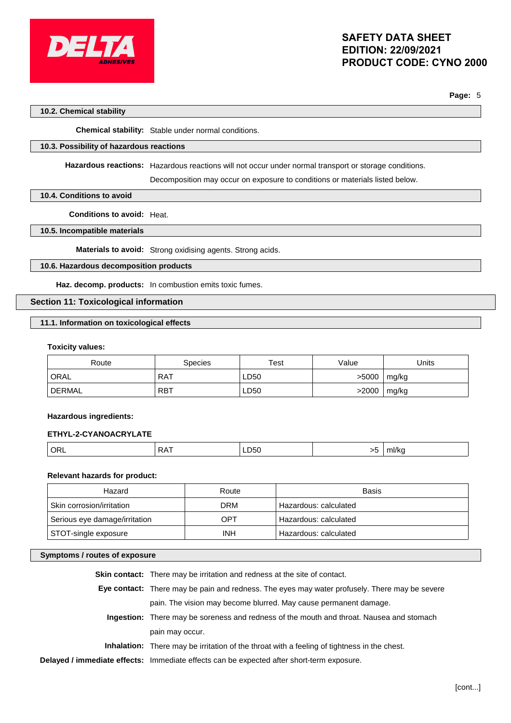

**Page:** 5

#### **10.2. Chemical stability**

**Chemical stability:** Stable under normal conditions.

#### **10.3. Possibility of hazardous reactions**

**Hazardous reactions:** Hazardous reactions will not occur under normal transport or storage conditions.

Decomposition may occur on exposure to conditions or materials listed below.

#### **10.4. Conditions to avoid**

**Conditions to avoid:** Heat.

#### **10.5. Incompatible materials**

**Materials to avoid:** Strong oxidising agents. Strong acids.

### **10.6. Hazardous decomposition products**

**Haz. decomp. products:** In combustion emits toxic fumes.

### **Section 11: Toxicological information**

#### **11.1. Information on toxicological effects**

#### **Toxicity values:**

| Route         | Species    | Test | Value | Jnits |
|---------------|------------|------|-------|-------|
| ORAL          | <b>RAT</b> | LD50 | >5000 | mg/kg |
| <b>DERMAL</b> | <b>RBT</b> | LD50 | >2000 | mg/kg |

#### **Hazardous ingredients:**

#### **ETHYL-2-CYANOACRYLATE**

|  |  | ∼<br> | LD50 | $\sim$ | <b>THIRE</b> |
|--|--|-------|------|--------|--------------|
|--|--|-------|------|--------|--------------|

### **Relevant hazards for product:**

| Hazard                        | Route      | Basis                 |
|-------------------------------|------------|-----------------------|
| Skin corrosion/irritation     | <b>DRM</b> | Hazardous: calculated |
| Serious eye damage/irritation | OPT        | Hazardous: calculated |
| STOT-single exposure          | <b>INH</b> | Hazardous: calculated |

# **Symptoms / routes of exposure**

| <b>Skin contact:</b> There may be irritation and redness at the site of contact.                   |
|----------------------------------------------------------------------------------------------------|
| Eye contact: There may be pain and redness. The eyes may water profusely. There may be severe      |
| pain. The vision may become blurred. May cause permanent damage.                                   |
| Ingestion: There may be soreness and redness of the mouth and throat. Nausea and stomach           |
| pain may occur.                                                                                    |
| <b>Inhalation:</b> There may be irritation of the throat with a feeling of tightness in the chest. |
| Delayed / immediate effects: Immediate effects can be expected after short-term exposure.          |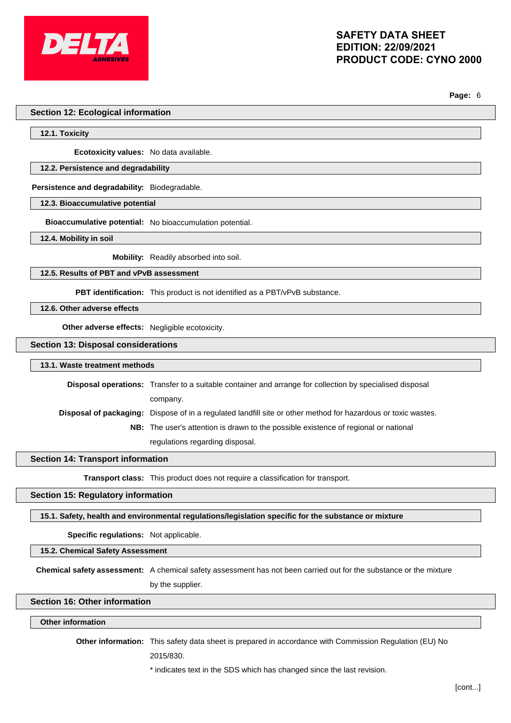

**Page:** 6

#### **Section 12: Ecological information**

**12.1. Toxicity**

**Ecotoxicity values:** No data available.

#### **12.2. Persistence and degradability**

**Persistence and degradability:** Biodegradable.

**12.3. Bioaccumulative potential**

**Bioaccumulative potential:** No bioaccumulation potential.

**12.4. Mobility in soil**

**Mobility:** Readily absorbed into soil.

**12.5. Results of PBT and vPvB assessment**

**PBT identification:** This product is not identified as a PBT/vPvB substance.

**12.6. Other adverse effects**

**Other adverse effects:** Negligible ecotoxicity.

**Section 13: Disposal considerations**

**13.1. Waste treatment methods**

**Disposal operations:** Transfer to a suitable container and arrange for collection by specialised disposal company. **Disposal of packaging:** Dispose of in a regulated landfill site or other method for hazardous or toxic wastes. **NB:** The user's attention is drawn to the possible existence of regional or national

regulations regarding disposal.

**Section 14: Transport information**

**Transport class:** This product does not require a classification for transport.

**Section 15: Regulatory information**

**15.1. Safety, health and environmental regulations/legislation specific for the substance or mixture**

**Specific regulations:** Not applicable.

**15.2. Chemical Safety Assessment**

**Chemical safety assessment:** A chemical safety assessment has not been carried out for the substance or the mixture by the supplier.

### **Section 16: Other information**

#### **Other information**

**Other information:** This safety data sheet is prepared in accordance with Commission Regulation (EU) No

2015/830.

\* indicates text in the SDS which has changed since the last revision.